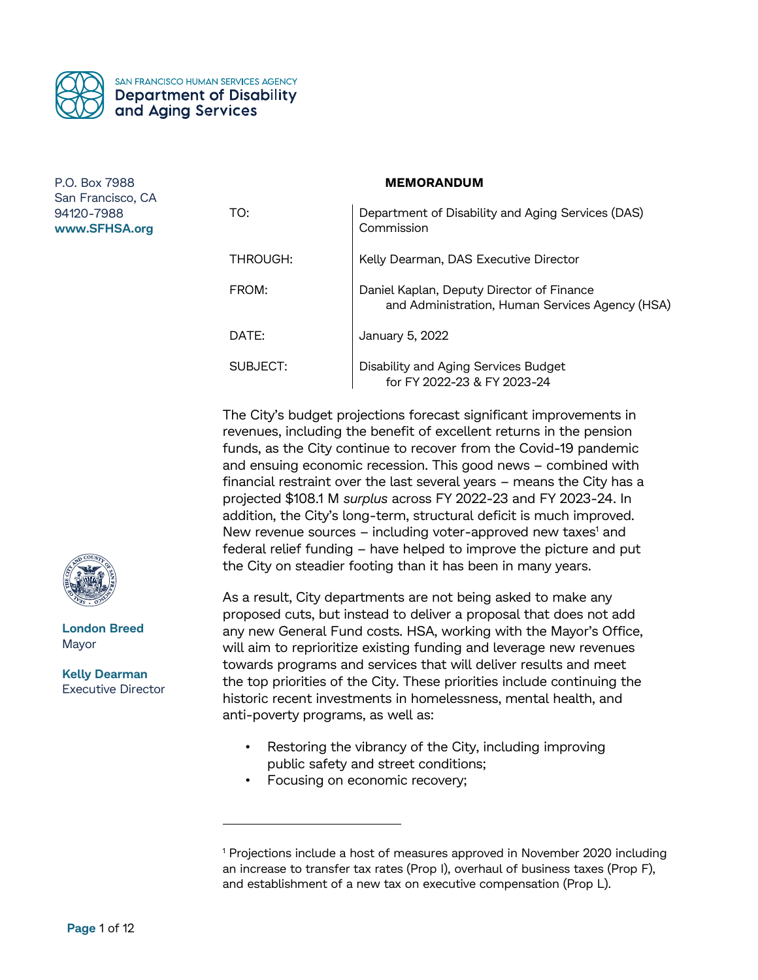

SAN FRANCISCO HUMAN SERVICES AGENCY **Department of Disability** and Aging Services

P.O. Box 7988 San Francisco, CA 94120-7988 **www.SFHSA.org**

| TO:      | Department of Disability and Aging Services (DAS)<br>Commission                              |
|----------|----------------------------------------------------------------------------------------------|
| THROUGH: | Kelly Dearman, DAS Executive Director                                                        |
| FROM:    | Daniel Kaplan, Deputy Director of Finance<br>and Administration, Human Services Agency (HSA) |
| DATE:    | January 5, 2022                                                                              |
| SUBJECT: | Disability and Aging Services Budget<br>for FY 2022-23 & FY 2023-24                          |

**MEMORANDUM**

The City's budget projections forecast significant improvements in revenues, including the benefit of excellent returns in the pension funds, as the City continue to recover from the Covid-19 pandemic and ensuing economic recession. This good news – combined with financial restraint over the last several years – means the City has a projected \$108.1 M *surplus* across FY 2022-23 and FY 2023-24. In addition, the City's long-term, structural deficit is much improved. New revenue sources  $-$  including voter-approved new taxes<sup>1</sup> and federal relief funding – have helped to improve the picture and put the City on steadier footing than it has been in many years.

As a result, City departments are not being asked to make any proposed cuts, but instead to deliver a proposal that does not add any new General Fund costs. HSA, working with the Mayor's Office, will aim to reprioritize existing funding and leverage new revenues towards programs and services that will deliver results and meet the top priorities of the City. These priorities include continuing the historic recent investments in homelessness, mental health, and anti-poverty programs, as well as:

- Restoring the vibrancy of the City, including improving public safety and street conditions;
- Focusing on economic recovery;



**London Breed** Mayor

**Kelly Dearman** Executive Director

 $\overline{a}$ 

<sup>1</sup> Projections include a host of measures approved in November 2020 including an increase to transfer tax rates (Prop I), overhaul of business taxes (Prop F), and establishment of a new tax on executive compensation (Prop L).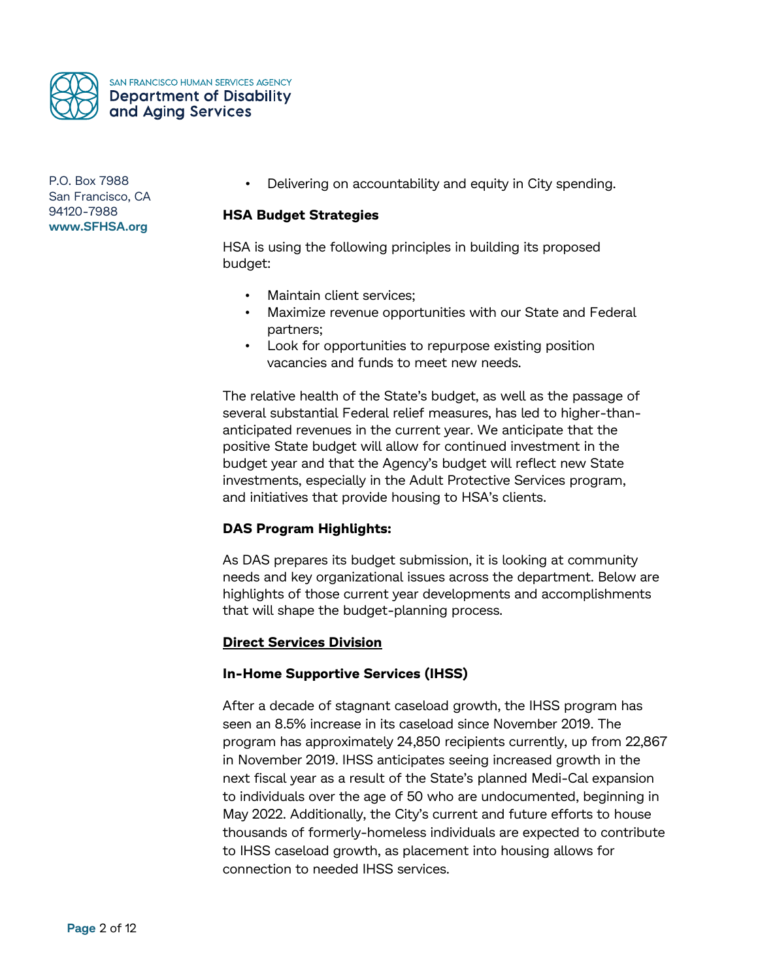

SAN FRANCISCO HUMAN SERVICES AGENCY **Department of Disability** and Aging Services

P.O. Box 7988 San Francisco, CA 94120-7988 **www.SFHSA.org**

• Delivering on accountability and equity in City spending.

# **HSA Budget Strategies**

HSA is using the following principles in building its proposed budget:

- Maintain client services;
- Maximize revenue opportunities with our State and Federal partners;
- Look for opportunities to repurpose existing position vacancies and funds to meet new needs.

The relative health of the State's budget, as well as the passage of several substantial Federal relief measures, has led to higher-thananticipated revenues in the current year. We anticipate that the positive State budget will allow for continued investment in the budget year and that the Agency's budget will reflect new State investments, especially in the Adult Protective Services program, and initiatives that provide housing to HSA's clients.

# **DAS Program Highlights:**

As DAS prepares its budget submission, it is looking at community needs and key organizational issues across the department. Below are highlights of those current year developments and accomplishments that will shape the budget-planning process.

# **Direct Services Division**

# **In-Home Supportive Services (IHSS)**

After a decade of stagnant caseload growth, the IHSS program has seen an 8.5% increase in its caseload since November 2019. The program has approximately 24,850 recipients currently, up from 22,867 in November 2019. IHSS anticipates seeing increased growth in the next fiscal year as a result of the State's planned Medi-Cal expansion to individuals over the age of 50 who are undocumented, beginning in May 2022. Additionally, the City's current and future efforts to house thousands of formerly-homeless individuals are expected to contribute to IHSS caseload growth, as placement into housing allows for connection to needed IHSS services.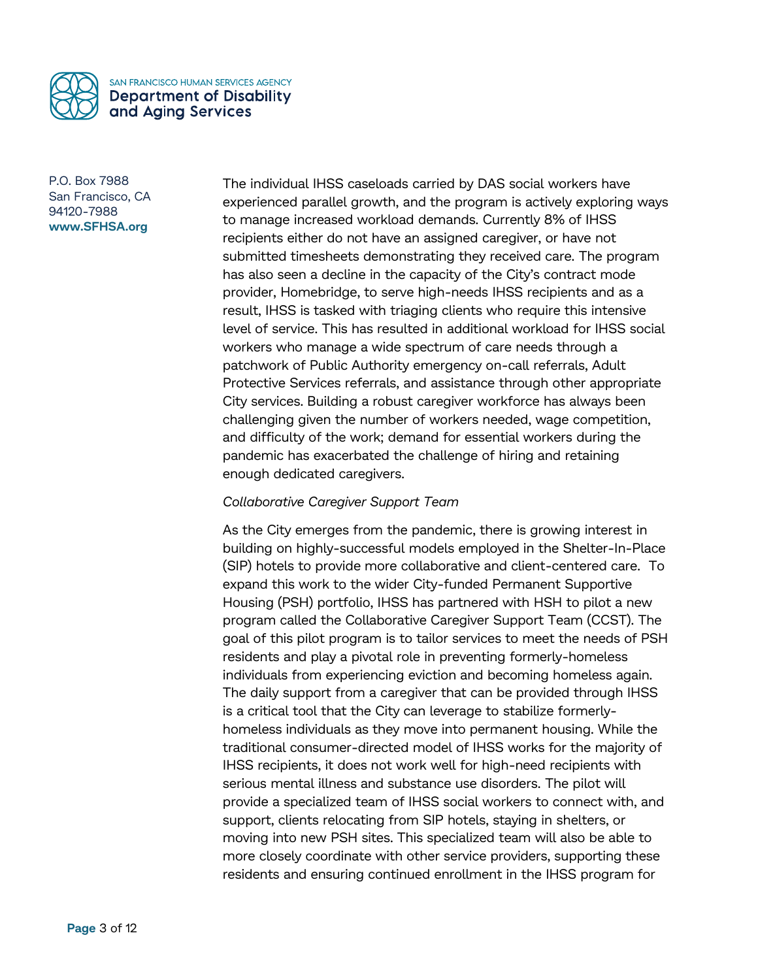

The individual IHSS caseloads carried by DAS social workers have experienced parallel growth, and the program is actively exploring ways to manage increased workload demands. Currently 8% of IHSS recipients either do not have an assigned caregiver, or have not submitted timesheets demonstrating they received care. The program has also seen a decline in the capacity of the City's contract mode provider, Homebridge, to serve high-needs IHSS recipients and as a result, IHSS is tasked with triaging clients who require this intensive level of service. This has resulted in additional workload for IHSS social workers who manage a wide spectrum of care needs through a patchwork of Public Authority emergency on-call referrals, Adult Protective Services referrals, and assistance through other appropriate City services. Building a robust caregiver workforce has always been challenging given the number of workers needed, wage competition, and difficulty of the work; demand for essential workers during the pandemic has exacerbated the challenge of hiring and retaining enough dedicated caregivers.

# *Collaborative Caregiver Support Team*

As the City emerges from the pandemic, there is growing interest in building on highly-successful models employed in the Shelter-In-Place (SIP) hotels to provide more collaborative and client-centered care. To expand this work to the wider City-funded Permanent Supportive Housing (PSH) portfolio, IHSS has partnered with HSH to pilot a new program called the Collaborative Caregiver Support Team (CCST). The goal of this pilot program is to tailor services to meet the needs of PSH residents and play a pivotal role in preventing formerly-homeless individuals from experiencing eviction and becoming homeless again. The daily support from a caregiver that can be provided through IHSS is a critical tool that the City can leverage to stabilize formerlyhomeless individuals as they move into permanent housing. While the traditional consumer-directed model of IHSS works for the majority of IHSS recipients, it does not work well for high-need recipients with serious mental illness and substance use disorders. The pilot will provide a specialized team of IHSS social workers to connect with, and support, clients relocating from SIP hotels, staying in shelters, or moving into new PSH sites. This specialized team will also be able to more closely coordinate with other service providers, supporting these residents and ensuring continued enrollment in the IHSS program for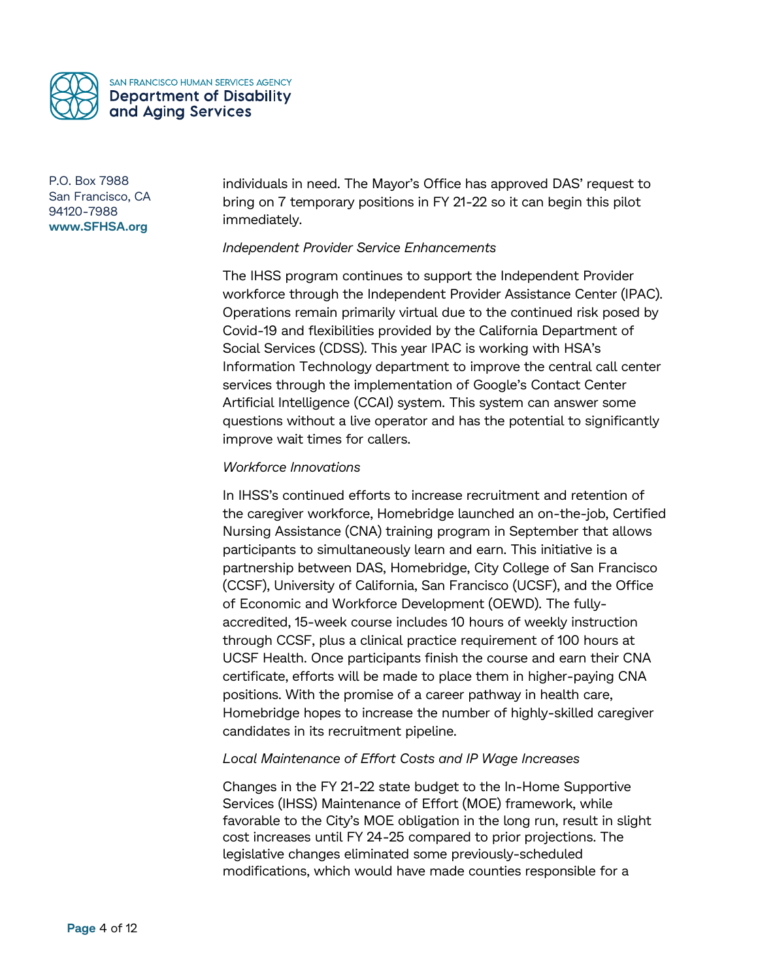

individuals in need. The Mayor's Office has approved DAS' request to bring on 7 temporary positions in FY 21-22 so it can begin this pilot immediately.

# *Independent Provider Service Enhancements*

The IHSS program continues to support the Independent Provider workforce through the Independent Provider Assistance Center (IPAC). Operations remain primarily virtual due to the continued risk posed by Covid-19 and flexibilities provided by the California Department of Social Services (CDSS). This year IPAC is working with HSA's Information Technology department to improve the central call center services through the implementation of Google's Contact Center Artificial Intelligence (CCAI) system. This system can answer some questions without a live operator and has the potential to significantly improve wait times for callers.

# *Workforce Innovations*

In IHSS's continued efforts to increase recruitment and retention of the caregiver workforce, Homebridge launched an on-the-job, Certified Nursing Assistance (CNA) training program in September that allows participants to simultaneously learn and earn. This initiative is a partnership between DAS, Homebridge, City College of San Francisco (CCSF), University of California, San Francisco (UCSF), and the Office of Economic and Workforce Development (OEWD). The fullyaccredited, 15-week course includes 10 hours of weekly instruction through CCSF, plus a clinical practice requirement of 100 hours at UCSF Health. Once participants finish the course and earn their CNA certificate, efforts will be made to place them in higher-paying CNA positions. With the promise of a career pathway in health care, Homebridge hopes to increase the number of highly-skilled caregiver candidates in its recruitment pipeline.

# *Local Maintenance of Effort Costs and IP Wage Increases*

Changes in the FY 21-22 state budget to the In-Home Supportive Services (IHSS) Maintenance of Effort (MOE) framework, while favorable to the City's MOE obligation in the long run, result in slight cost increases until FY 24-25 compared to prior projections. The legislative changes eliminated some previously-scheduled modifications, which would have made counties responsible for a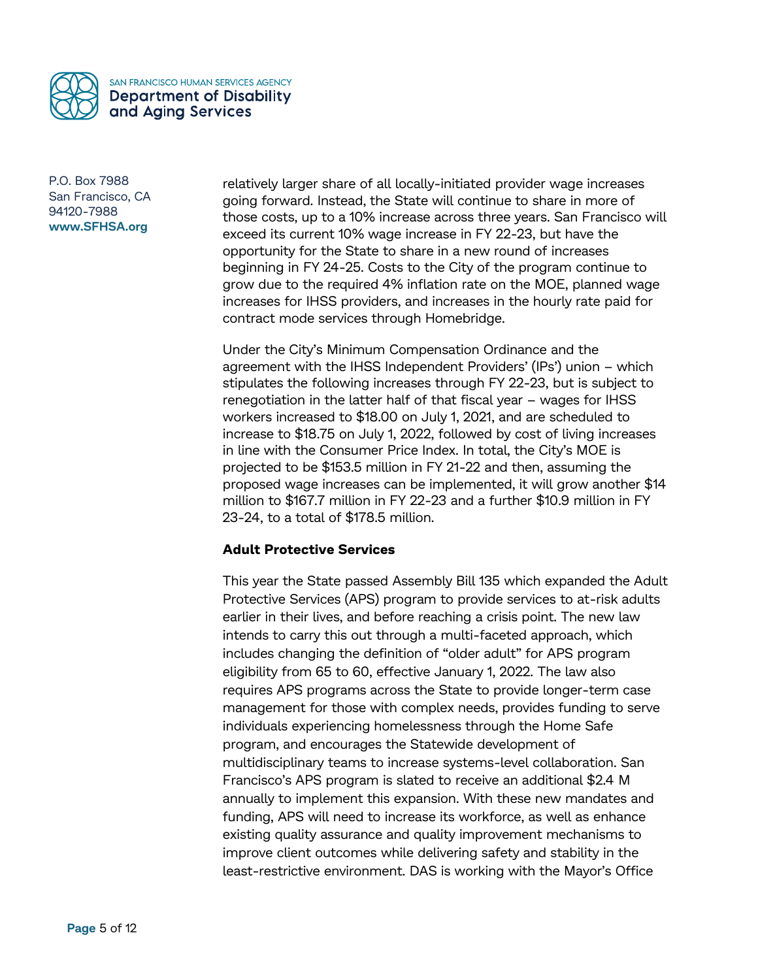

relatively larger share of all locally-initiated provider wage increases going forward. Instead, the State will continue to share in more of those costs, up to a 10% increase across three years. San Francisco will exceed its current 10% wage increase in FY 22-23, but have the opportunity for the State to share in a new round of increases beginning in FY 24-25. Costs to the City of the program continue to grow due to the required 4% inflation rate on the MOE, planned wage increases for IHSS providers, and increases in the hourly rate paid for contract mode services through Homebridge.

Under the City's Minimum Compensation Ordinance and the agreement with the IHSS Independent Providers' (IPs') union – which stipulates the following increases through FY 22-23, but is subject to renegotiation in the latter half of that fiscal year – wages for IHSS workers increased to \$18.00 on July 1, 2021, and are scheduled to increase to \$18.75 on July 1, 2022, followed by cost of living increases in line with the Consumer Price Index. In total, the City's MOE is projected to be \$153.5 million in FY 21-22 and then, assuming the proposed wage increases can be implemented, it will grow another \$14 million to \$167.7 million in FY 22-23 and a further \$10.9 million in FY 23-24, to a total of \$178.5 million.

# **Adult Protective Services**

This year the State passed Assembly Bill 135 which expanded the Adult Protective Services (APS) program to provide services to at-risk adults earlier in their lives, and before reaching a crisis point. The new law intends to carry this out through a multi-faceted approach, which includes changing the definition of "older adult" for APS program eligibility from 65 to 60, effective January 1, 2022. The law also requires APS programs across the State to provide longer-term case management for those with complex needs, provides funding to serve individuals experiencing homelessness through the Home Safe program, and encourages the Statewide development of multidisciplinary teams to increase systems-level collaboration. San Francisco's APS program is slated to receive an additional \$2.4 M annually to implement this expansion. With these new mandates and funding, APS will need to increase its workforce, as well as enhance existing quality assurance and quality improvement mechanisms to improve client outcomes while delivering safety and stability in the least-restrictive environment. DAS is working with the Mayor's Office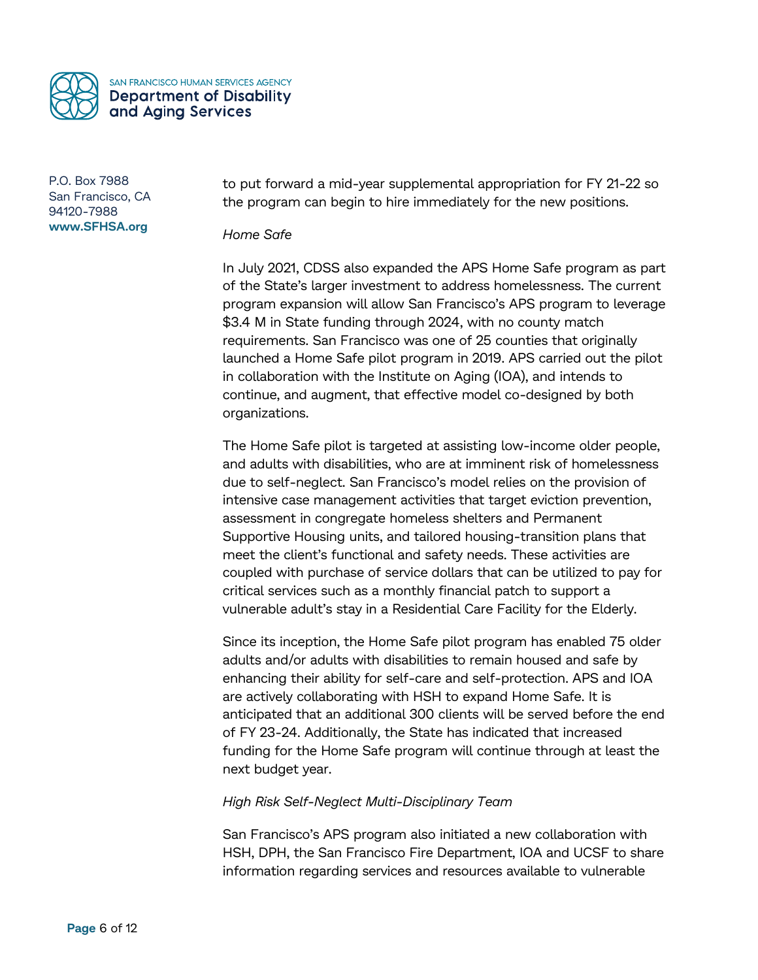

to put forward a mid-year supplemental appropriation for FY 21-22 so the program can begin to hire immediately for the new positions.

*Home Safe*

In July 2021, CDSS also expanded the APS Home Safe program as part of the State's larger investment to address homelessness. The current program expansion will allow San Francisco's APS program to leverage \$3.4 M in State funding through 2024, with no county match requirements. San Francisco was one of 25 counties that originally launched a Home Safe pilot program in 2019. APS carried out the pilot in collaboration with the Institute on Aging (IOA), and intends to continue, and augment, that effective model co-designed by both organizations.

The Home Safe pilot is targeted at assisting low-income older people, and adults with disabilities, who are at imminent risk of homelessness due to self-neglect. San Francisco's model relies on the provision of intensive case management activities that target eviction prevention, assessment in congregate homeless shelters and Permanent Supportive Housing units, and tailored housing-transition plans that meet the client's functional and safety needs. These activities are coupled with purchase of service dollars that can be utilized to pay for critical services such as a monthly financial patch to support a vulnerable adult's stay in a Residential Care Facility for the Elderly.

Since its inception, the Home Safe pilot program has enabled 75 older adults and/or adults with disabilities to remain housed and safe by enhancing their ability for self-care and self-protection. APS and IOA are actively collaborating with HSH to expand Home Safe. It is anticipated that an additional 300 clients will be served before the end of FY 23-24. Additionally, the State has indicated that increased funding for the Home Safe program will continue through at least the next budget year.

# *High Risk Self-Neglect Multi-Disciplinary Team*

San Francisco's APS program also initiated a new collaboration with HSH, DPH, the San Francisco Fire Department, IOA and UCSF to share information regarding services and resources available to vulnerable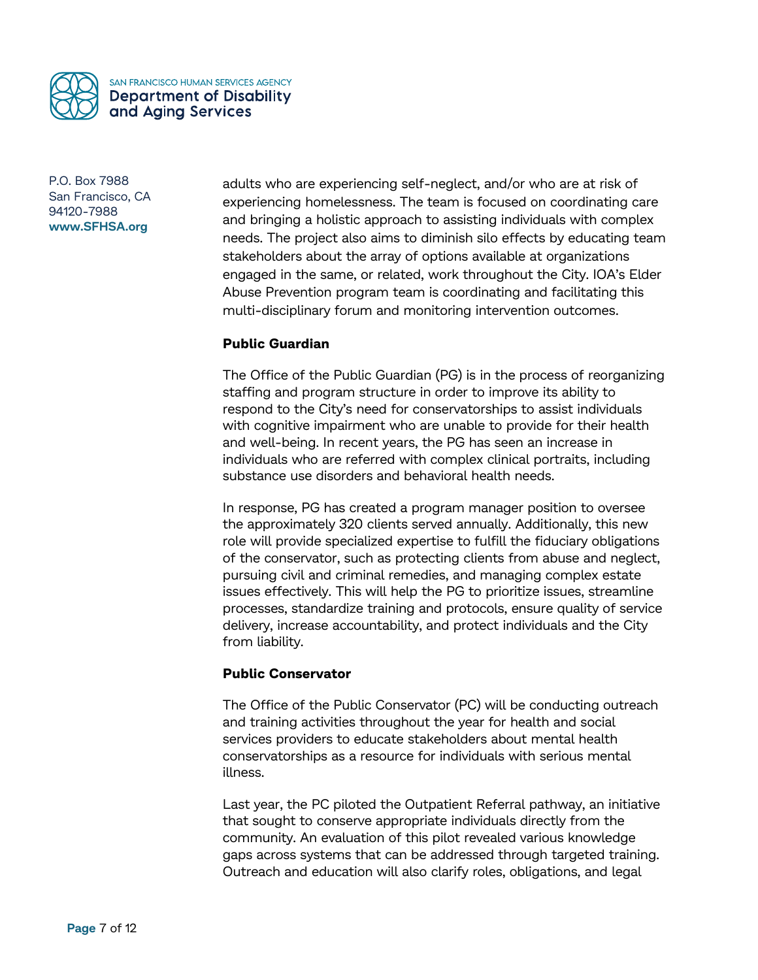

adults who are experiencing self-neglect, and/or who are at risk of experiencing homelessness. The team is focused on coordinating care and bringing a holistic approach to assisting individuals with complex needs. The project also aims to diminish silo effects by educating team stakeholders about the array of options available at organizations engaged in the same, or related, work throughout the City. IOA's Elder Abuse Prevention program team is coordinating and facilitating this multi-disciplinary forum and monitoring intervention outcomes.

# **Public Guardian**

The Office of the Public Guardian (PG) is in the process of reorganizing staffing and program structure in order to improve its ability to respond to the City's need for conservatorships to assist individuals with cognitive impairment who are unable to provide for their health and well-being. In recent years, the PG has seen an increase in individuals who are referred with complex clinical portraits, including substance use disorders and behavioral health needs.

In response, PG has created a program manager position to oversee the approximately 320 clients served annually. Additionally, this new role will provide specialized expertise to fulfill the fiduciary obligations of the conservator, such as protecting clients from abuse and neglect, pursuing civil and criminal remedies, and managing complex estate issues effectively. This will help the PG to prioritize issues, streamline processes, standardize training and protocols, ensure quality of service delivery, increase accountability, and protect individuals and the City from liability.

# **Public Conservator**

The Office of the Public Conservator (PC) will be conducting outreach and training activities throughout the year for health and social services providers to educate stakeholders about mental health conservatorships as a resource for individuals with serious mental illness.

Last year, the PC piloted the Outpatient Referral pathway, an initiative that sought to conserve appropriate individuals directly from the community. An evaluation of this pilot revealed various knowledge gaps across systems that can be addressed through targeted training. Outreach and education will also clarify roles, obligations, and legal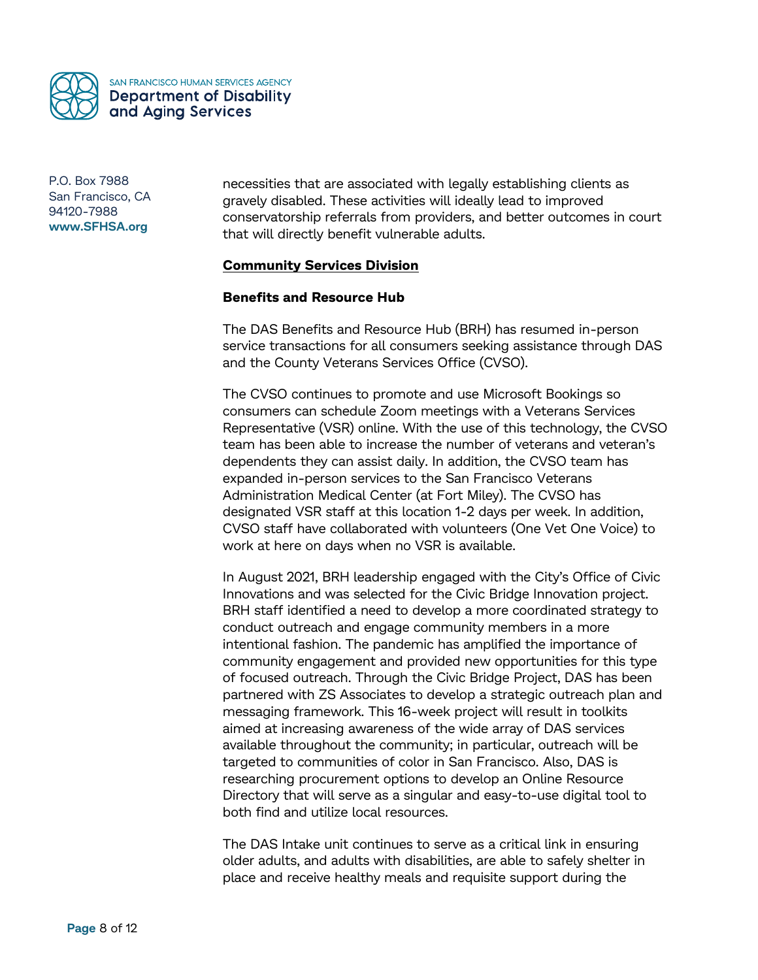

necessities that are associated with legally establishing clients as gravely disabled. These activities will ideally lead to improved conservatorship referrals from providers, and better outcomes in court that will directly benefit vulnerable adults.

# **Community Services Division**

#### **Benefits and Resource Hub**

The DAS Benefits and Resource Hub (BRH) has resumed in-person service transactions for all consumers seeking assistance through DAS and the County Veterans Services Office (CVSO).

The CVSO continues to promote and use Microsoft Bookings so consumers can schedule Zoom meetings with a Veterans Services Representative (VSR) online. With the use of this technology, the CVSO team has been able to increase the number of veterans and veteran's dependents they can assist daily. In addition, the CVSO team has expanded in-person services to the San Francisco Veterans Administration Medical Center (at Fort Miley). The CVSO has designated VSR staff at this location 1-2 days per week. In addition, CVSO staff have collaborated with volunteers (One Vet One Voice) to work at here on days when no VSR is available.

In August 2021, BRH leadership engaged with the City's Office of Civic Innovations and was selected for the Civic Bridge Innovation project. BRH staff identified a need to develop a more coordinated strategy to conduct outreach and engage community members in a more intentional fashion. The pandemic has amplified the importance of community engagement and provided new opportunities for this type of focused outreach. Through the Civic Bridge Project, DAS has been partnered with ZS Associates to develop a strategic outreach plan and messaging framework. This 16-week project will result in toolkits aimed at increasing awareness of the wide array of DAS services available throughout the community; in particular, outreach will be targeted to communities of color in San Francisco. Also, DAS is researching procurement options to develop an Online Resource Directory that will serve as a singular and easy-to-use digital tool to both find and utilize local resources.

The DAS Intake unit continues to serve as a critical link in ensuring older adults, and adults with disabilities, are able to safely shelter in place and receive healthy meals and requisite support during the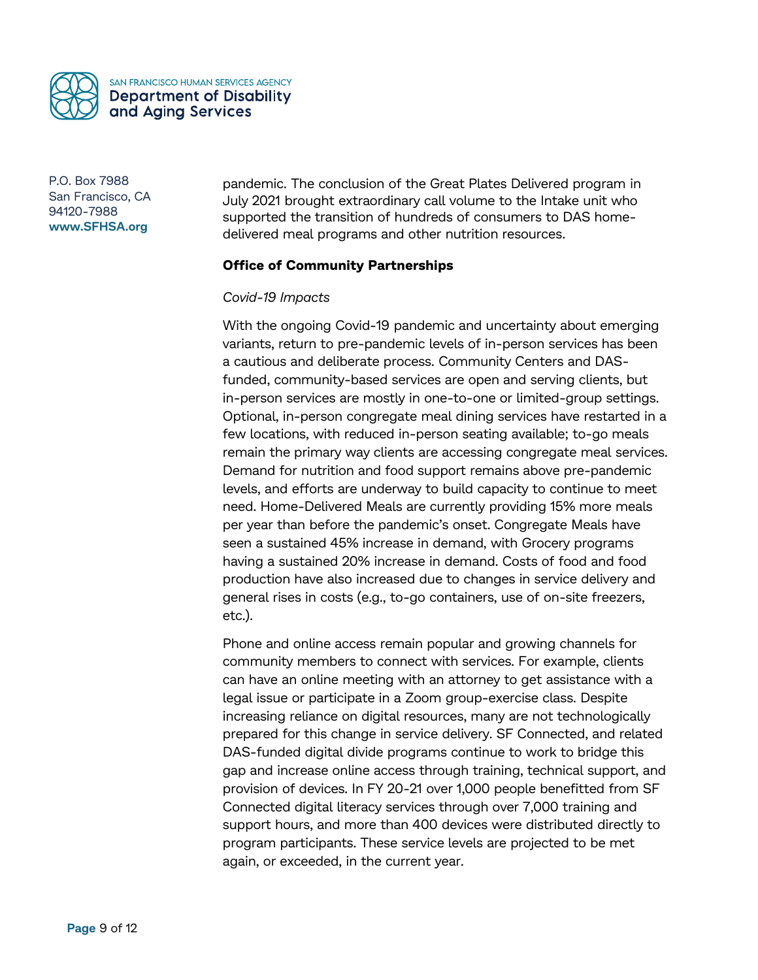

pandemic. The conclusion of the Great Plates Delivered program in July 2021 brought extraordinary call volume to the Intake unit who supported the transition of hundreds of consumers to DAS homedelivered meal programs and other nutrition resources.

# **Office of Community Partnerships**

#### *Covid-19 Impacts*

With the ongoing Covid-19 pandemic and uncertainty about emerging variants, return to pre-pandemic levels of in-person services has been a cautious and deliberate process. Community Centers and DASfunded, community-based services are open and serving clients, but in-person services are mostly in one-to-one or limited-group settings. Optional, in-person congregate meal dining services have restarted in a few locations, with reduced in-person seating available; to-go meals remain the primary way clients are accessing congregate meal services. Demand for nutrition and food support remains above pre-pandemic levels, and efforts are underway to build capacity to continue to meet need. Home-Delivered Meals are currently providing 15% more meals per year than before the pandemic's onset. Congregate Meals have seen a sustained 45% increase in demand, with Grocery programs having a sustained 20% increase in demand. Costs of food and food production have also increased due to changes in service delivery and general rises in costs (e.g., to-go containers, use of on-site freezers, etc.).

Phone and online access remain popular and growing channels for community members to connect with services. For example, clients can have an online meeting with an attorney to get assistance with a legal issue or participate in a Zoom group-exercise class. Despite increasing reliance on digital resources, many are not technologically prepared for this change in service delivery. SF Connected, and related DAS-funded digital divide programs continue to work to bridge this gap and increase online access through training, technical support, and provision of devices. In FY 20-21 over 1,000 people benefitted from SF Connected digital literacy services through over 7,000 training and support hours, and more than 400 devices were distributed directly to program participants. These service levels are projected to be met again, or exceeded, in the current year.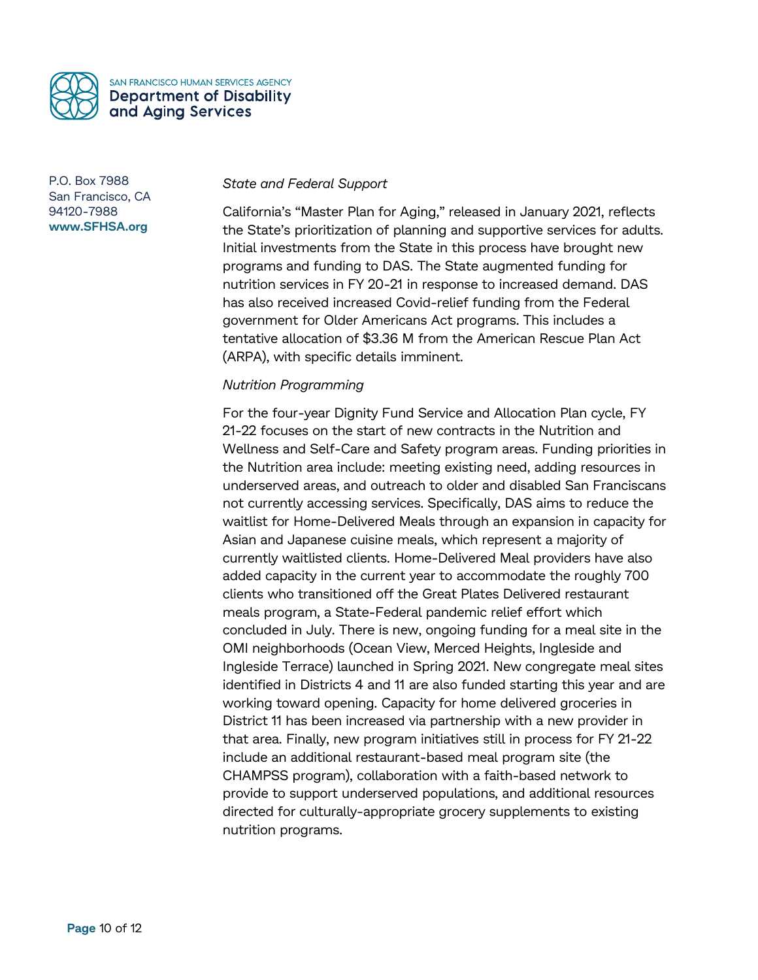

# *State and Federal Support*

California's "Master Plan for Aging," released in January 2021, reflects the State's prioritization of planning and supportive services for adults. Initial investments from the State in this process have brought new programs and funding to DAS. The State augmented funding for nutrition services in FY 20-21 in response to increased demand. DAS has also received increased Covid-relief funding from the Federal government for Older Americans Act programs. This includes a tentative allocation of \$3.36 M from the American Rescue Plan Act (ARPA), with specific details imminent.

# *Nutrition Programming*

For the four-year Dignity Fund Service and Allocation Plan cycle, FY 21-22 focuses on the start of new contracts in the Nutrition and Wellness and Self-Care and Safety program areas. Funding priorities in the Nutrition area include: meeting existing need, adding resources in underserved areas, and outreach to older and disabled San Franciscans not currently accessing services. Specifically, DAS aims to reduce the waitlist for Home-Delivered Meals through an expansion in capacity for Asian and Japanese cuisine meals, which represent a majority of currently waitlisted clients. Home-Delivered Meal providers have also added capacity in the current year to accommodate the roughly 700 clients who transitioned off the Great Plates Delivered restaurant meals program, a State-Federal pandemic relief effort which concluded in July. There is new, ongoing funding for a meal site in the OMI neighborhoods (Ocean View, Merced Heights, Ingleside and Ingleside Terrace) launched in Spring 2021. New congregate meal sites identified in Districts 4 and 11 are also funded starting this year and are working toward opening. Capacity for home delivered groceries in District 11 has been increased via partnership with a new provider in that area. Finally, new program initiatives still in process for FY 21-22 include an additional restaurant-based meal program site (the CHAMPSS program), collaboration with a faith-based network to provide to support underserved populations, and additional resources directed for culturally-appropriate grocery supplements to existing nutrition programs.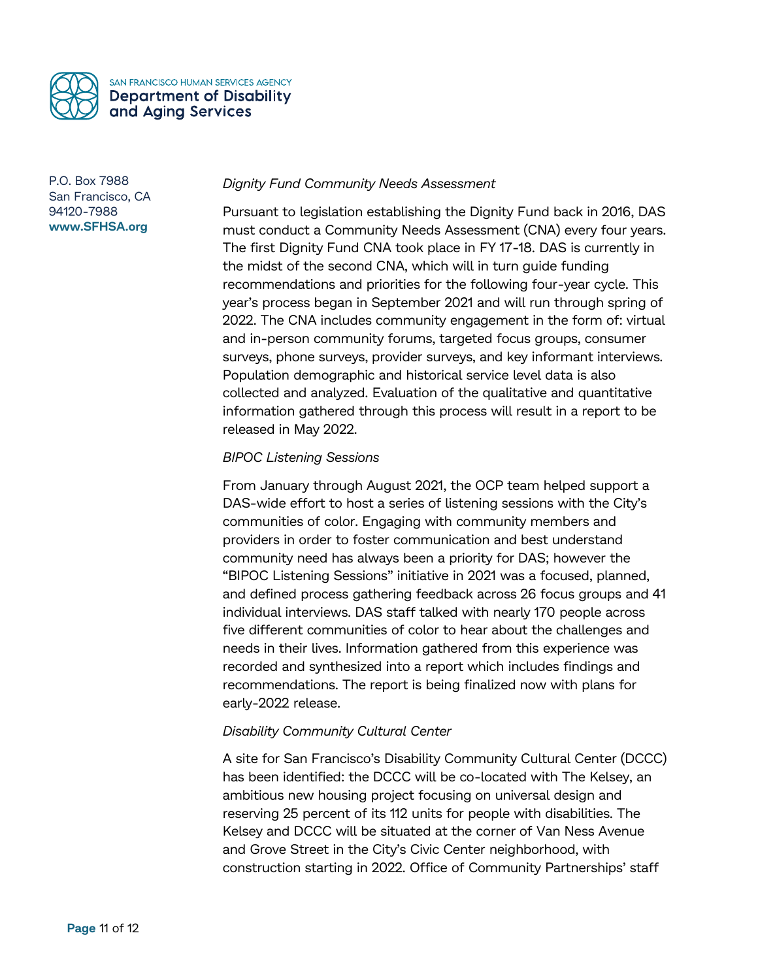

# *Dignity Fund Community Needs Assessment*

Pursuant to legislation establishing the Dignity Fund back in 2016, DAS must conduct a Community Needs Assessment (CNA) every four years. The first Dignity Fund CNA took place in FY 17-18. DAS is currently in the midst of the second CNA, which will in turn guide funding recommendations and priorities for the following four-year cycle. This year's process began in September 2021 and will run through spring of 2022. The CNA includes community engagement in the form of: virtual and in-person community forums, targeted focus groups, consumer surveys, phone surveys, provider surveys, and key informant interviews. Population demographic and historical service level data is also collected and analyzed. Evaluation of the qualitative and quantitative information gathered through this process will result in a report to be released in May 2022.

# *BIPOC Listening Sessions*

From January through August 2021, the OCP team helped support a DAS-wide effort to host a series of listening sessions with the City's communities of color. Engaging with community members and providers in order to foster communication and best understand community need has always been a priority for DAS; however the "BIPOC Listening Sessions" initiative in 2021 was a focused, planned, and defined process gathering feedback across 26 focus groups and 41 individual interviews. DAS staff talked with nearly 170 people across five different communities of color to hear about the challenges and needs in their lives. Information gathered from this experience was recorded and synthesized into a report which includes findings and recommendations. The report is being finalized now with plans for early-2022 release.

# *Disability Community Cultural Center*

A site for San Francisco's Disability Community Cultural Center (DCCC) has been identified: the DCCC will be co-located with The Kelsey, an ambitious new housing project focusing on universal design and reserving 25 percent of its 112 units for people with disabilities. The Kelsey and DCCC will be situated at the corner of Van Ness Avenue and Grove Street in the City's Civic Center neighborhood, with construction starting in 2022. Office of Community Partnerships' staff